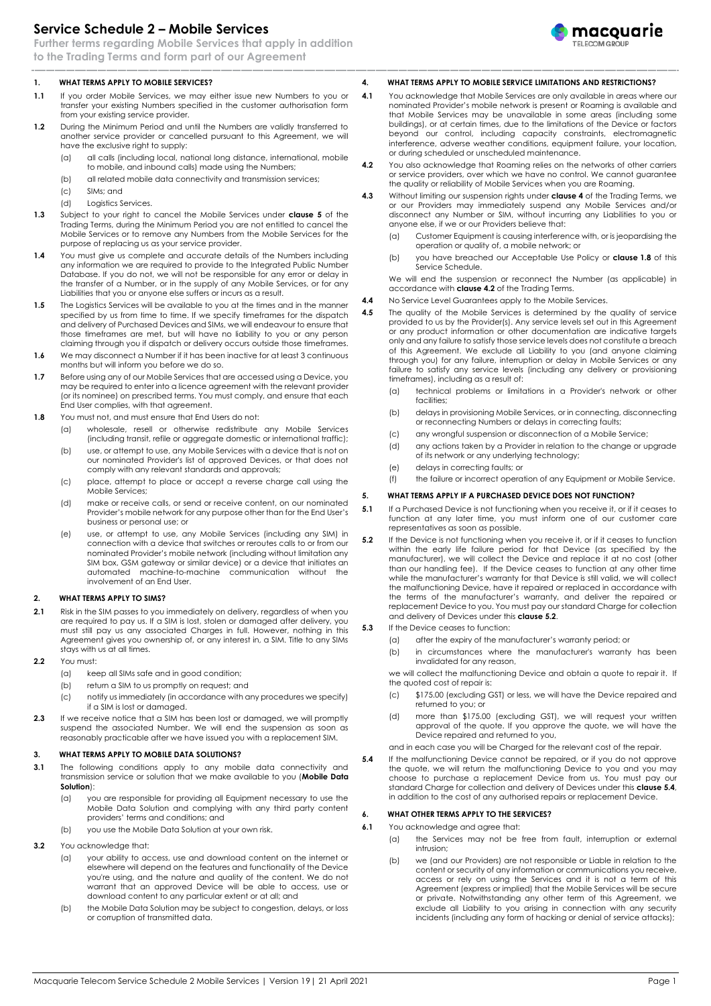# **Service Schedule 2 – Mobile Services**

**Further terms regarding Mobile Services that apply in addition to the Trading Terms and form part of our Agreement**

# **1. WHAT TERMS APPLY TO MOBILE SERVICES?**

- **1.1** If you order Mobile Services, we may either issue new Numbers to you or transfer your existing Numbers specified in the customer authorisation form from your existing service provider.
- **1.2** During the Minimum Period and until the Numbers are validly transferred to another service provider or cancelled pursuant to this Agreement, we will have the exclusive right to supply:
	- (a) all calls (including local, national long distance, international, mobile to mobile, and inbound calls) made using the Numbers;
	- (b) all related mobile data connectivity and transmission services;
	- (c) SIMs; and
	- (d) Logistics Services.
- <span id="page-0-4"></span>**1.3** Subject to your right to cancel the Mobile Services under **clause 5** of the Trading Terms, during the Minimum Period you are not entitled to cancel the Mobile Services or to remove any Numbers from the Mobile Services for the purpose of replacing us as your service provider.
- **1.4** You must give us complete and accurate details of the Numbers including any information we are required to provide to the Integrated Public Number Database. If you do not, we will not be responsible for any error or delay in the transfer of a Number, or in the supply of any Mobile Services, or for any Liabilities that you or anyone else suffers or incurs as a result.
- **1.5** The Logistics Services will be available to you at the times and in the manner specified by us from time to time. If we specify timeframes for the dispatch and delivery of Purchased Devices and SIMs, we will endeavour to ensure that those timeframes are met, but will have no liability to you or any person claiming through you if dispatch or delivery occurs outside those timeframes.
- **1.6** We may disconnect a Number if it has been inactive for at least 3 continuous months but will inform you before we do so.
- **1.7** Before using any of our Mobile Services that are accessed using a Device, you may be required to enter into a licence agreement with the relevant provider (or its nominee) on prescribed terms. You must comply, and ensure that each End User complies, with that agreement.
- <span id="page-0-0"></span>**1.8** You must not, and must ensure that End Users do not:
	- (a) wholesale, resell or otherwise redistribute any Mobile Services (including transit, refile or aggregate domestic or international traffic);
	- (b) use, or attempt to use, any Mobile Services with a device that is not on our nominated Provider's list of approved Devices, or that does not comply with any relevant standards and approvals;
	- (c) place, attempt to place or accept a reverse charge call using the Mobile Services;
	- (d) make or receive calls, or send or receive content, on our nominated Provider's mobile network for any purpose other than for the End User's business or personal use; or
	- (e) use, or attempt to use, any Mobile Services (including any SIM) in connection with a device that switches or reroutes calls to or from our nominated Provider's mobile network (including without limitation any SIM box, GSM gateway or similar device) or a device that initiates an automated machine-to-machine communication without the involvement of an End User.

#### **2. WHAT TERMS APPLY TO SIMS?**

- **2.1** Risk in the SIM passes to you immediately on delivery, regardless of when you are required to pay us. If a SIM is lost, stolen or damaged after delivery, you must still pay us any associated Charges in full. However, nothing in this Agreement gives you ownership of, or any interest in, a SIM. Title to any SIMs stays with us at all times.
- **2.2** You must:
	- (a) keep all SIMs safe and in good condition;
	- (b) return a SIM to us promptly on request; and
	- (c) notify us immediately (in accordance with any procedures we specify) if a SIM is lost or damaged.
- **2.3** If we receive notice that a SIM has been lost or damaged, we will promptly suspend the associated Number. We will end the suspension as soon as reasonably practicable after we have issued you with a replacement SIM.

#### **3. WHAT TERMS APPLY TO MOBILE DATA SOLUTIONS?**

- **3.1** The following conditions apply to any mobile data connectivity and transmission service or solution that we make available to you (**Mobile Data Solution**):
	- (a) you are responsible for providing all Equipment necessary to use the Mobile Data Solution and complying with any third party content providers' terms and conditions; and
	- (b) you use the Mobile Data Solution at your own risk.
- **3.2** You acknowledge that:
	- (a) your ability to access, use and download content on the internet or elsewhere will depend on the features and functionality of the Device you're using, and the nature and quality of the content. We do not warrant that an approved Device will be able to access, use or download content to any particular extent or at all; and
	- (b) the Mobile Data Solution may be subject to congestion, delays, or loss or corruption of transmitted data.

### **4. WHAT TERMS APPLY TO MOBILE SERVICE LIMITATIONS AND RESTRICTIONS?**

- **4.1** You acknowledge that Mobile Services are only available in areas where our nominated Provider's mobile network is present or Roaming is available and that Mobile Services may be unavailable in some areas (including some buildings), or at certain times, due to the limitations of the Device or factors beyond our control, including capacity constraints, electromagnetic interference, adverse weather conditions, equipment failure, your location, or during scheduled or unscheduled maintenance.
- **4.2** You also acknowledge that Roaming relies on the networks of other carriers or service providers, over which we have no control. We cannot guarantee the quality or reliability of Mobile Services when you are Roaming.
- **4.3** Without limiting our suspension rights under **clause 4** of the Trading Terms, we or our Providers may immediately suspend any Mobile Services and/or disconnect any Number or SIM, without incurring any Liabilities to you or anyone else, if we or our Providers believe that:
	- (a) Customer Equipment is causing interference with, or is jeopardising the operation or quality of, a mobile network; or
	- (b) you have breached our Acceptable Use Policy or **clause [1.8](#page-0-0)** of this Service Schedule.

We will end the suspension or reconnect the Number (as applicable) in accordance with **clause 4.2** of the Trading Terms.

- **4.4** No Service Level Guarantees apply to the Mobile Services.
- **4.5** The quality of the Mobile Services is determined by the quality of service provided to us by the Provider(s). Any service levels set out in this Agreement or any product information or other documentation are indicative targets only and any failure to satisfy those service levels does not constitute a breach of this Agreement. We exclude all Liability to you (and anyone claiming through you) for any failure, interruption or delay in Mobile Services or any failure to satisfy any service levels (including any delivery or provisioning timeframes), including as a result of:
	- (a) technical problems or limitations in a Provider's network or other facilities;
	- (b) delays in provisioning Mobile Services, or in connecting, disconnecting or reconnecting Numbers or delays in correcting faults;
	- (c) any wrongful suspension or disconnection of a Mobile Service;
	- (d) any actions taken by a Provider in relation to the change or upgrade of its network or any underlying technology;
	- (e) delays in correcting faults; or
	- (f) the failure or incorrect operation of any Equipment or Mobile Service.

# <span id="page-0-3"></span>**5. WHAT TERMS APPLY IF A PURCHASED DEVICE DOES NOT FUNCTION?**

- **5.1** If a Purchased Device is not functioning when you receive it, or if it ceases to function at any later time, you must inform one of our customer care representatives as soon as possible.
- <span id="page-0-1"></span>**5.2** If the Device is not functioning when you receive it, or if it ceases to function within the early life failure period for that Device (as specified by the manufacturer), we will collect the Device and replace it at no cost (other than our handling fee). If the Device ceases to function at any other time while the manufacturer's warranty for that Device is still valid, we will collect the malfunctioning Device, have it repaired or replaced in accordance with the terms of the manufacturer's warranty, and deliver the repaired or replacement Device to you. You must pay our standard Charge for collection and delivery of Devices under this **clause [5.2](#page-0-1)**.
- **5.3** If the Device ceases to function:
	- (a) after the expiry of the manufacturer's warranty period; or
	- (b) in circumstances where the manufacturer's warranty has been invalidated for any reason,

we will collect the malfunctioning Device and obtain a quote to repair it. If the quoted cost of repair is:

- (c) \$175.00 (excluding GST) or less, we will have the Device repaired and returned to you; or
- (d) more than \$175.00 (excluding GST), we will request your written approval of the quote. If you approve the quote, we will have the Device repaired and returned to you,

and in each case you will be Charged for the relevant cost of the repair.

<span id="page-0-2"></span>**5.4** If the malfunctioning Device cannot be repaired, or if you do not approve the quote, we will return the malfunctioning Device to you and you may choose to purchase a replacement Device from us. You must pay our standard Charge for collection and delivery of Devices under this **clause [5.4](#page-0-2)**, in addition to the cost of any authorised repairs or replacement Device.

## **6. WHAT OTHER TERMS APPLY TO THE SERVICES?**

#### **6.1** You acknowledge and agree that:

- (a) the Services may not be free from fault, interruption or external intrusion;
- (b) we (and our Providers) are not responsible or Liable in relation to the content or security of any information or communications you receive, access or rely on using the Services and it is not a term of this Agreement (express or implied) that the Mobile Services will be secure or private. Notwithstanding any other term of this Agreement, we exclude all Liability to you arising in connection with any security incidents (including any form of hacking or denial of service attacks);